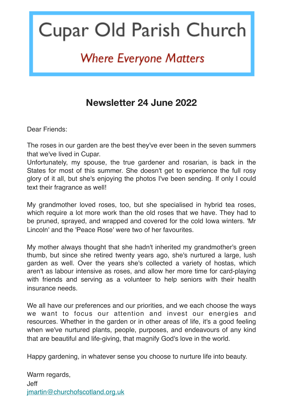# Cupar Old Parish Church

## **Where Everyone Matters**

### **Newsletter 24 June 2022**

Dear Friends:

The roses in our garden are the best they've ever been in the seven summers that we've lived in Cupar.

Unfortunately, my spouse, the true gardener and rosarian, is back in the States for most of this summer. She doesn't get to experience the full rosy glory of it all, but she's enjoying the photos I've been sending. If only I could text their fragrance as well!

My grandmother loved roses, too, but she specialised in hybrid tea roses, which require a lot more work than the old roses that we have. They had to be pruned, sprayed, and wrapped and covered for the cold Iowa winters. 'Mr Lincoln' and the 'Peace Rose' were two of her favourites.

My mother always thought that she hadn't inherited my grandmother's green thumb, but since she retired twenty years ago, she's nurtured a large, lush garden as well. Over the years she's collected a variety of hostas, which aren't as labour intensive as roses, and allow her more time for card-playing with friends and serving as a volunteer to help seniors with their health insurance needs.

We all have our preferences and our priorities, and we each choose the ways we want to focus our attention and invest our energies and resources. Whether in the garden or in other areas of life, it's a good feeling when we've nurtured plants, people, purposes, and endeavours of any kind that are beautiful and life-giving, that magnify God's love in the world.

Happy gardening, in whatever sense you choose to nurture life into beauty.

Warm regards, Jeff [jmartin@churchofscotland.org.uk](mailto:jmartin@churchofscotland.org.uk)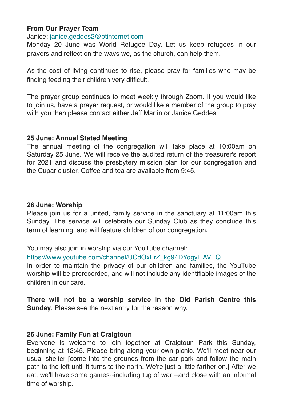#### **From Our Prayer Team**

Janice: [janice.geddes2@btinternet.com](mailto:janice.geddes2@btinternet.com)

Monday 20 June was World Refugee Day. Let us keep refugees in our prayers and reflect on the ways we, as the church, can help them.

As the cost of living continues to rise, please pray for families who may be finding feeding their children very difficult.

The prayer group continues to meet weekly through Zoom. If you would like to join us, have a prayer request, or would like a member of the group to pray with you then please contact either Jeff Martin or Janice Geddes

#### **25 June: Annual Stated Meeting**

The annual meeting of the congregation will take place at 10:00am on Saturday 25 June. We will receive the audited return of the treasurer's report for 2021 and discuss the presbytery mission plan for our congregation and the Cupar cluster. Coffee and tea are available from 9:45.

#### **26 June: Worship**

Please join us for a united, family service in the sanctuary at 11:00am this Sunday. The service will celebrate our Sunday Club as they conclude this term of learning, and will feature children of our congregation.

You may also join in worship via our YouTube channel:

[https://www.youtube.com/channel/UCdOxFrZ\\_kg94DYogylFAVEQ](https://cuparold.us17.list-manage.com/track/click?u=cb0d11bd686f9936f33547aab&id=307033827c&e=9c4275e320)

In order to maintain the privacy of our children and families, the YouTube worship will be prerecorded, and will not include any identifiable images of the children in our care.

**There will not be a worship service in the Old Parish Centre this Sunday**. Please see the next entry for the reason why.

#### **26 June: Family Fun at Craigtoun**

Everyone is welcome to join together at Craigtoun Park this Sunday, beginning at 12:45. Please bring along your own picnic. We'll meet near our usual shelter [come into the grounds from the car park and follow the main path to the left until it turns to the north. We're just a little farther on.] After we eat, we'll have some games--including tug of war!--and close with an informal time of worship.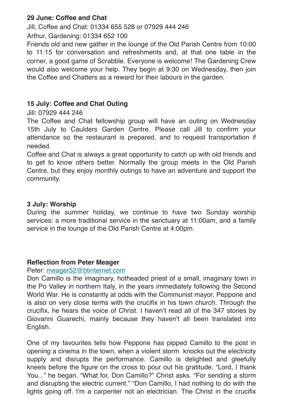#### **29 June: Coffee and Chat**

Jill, Coffee and Chat: 01334 655 528 or 07929 444 246

Arthur, Gardening: 01334 652 100

Friends old and new gather in the lounge of the Old Parish Centre from 10:00 to 11:15 for conversation and refreshments and, at that one table in the corner, a good game of Scrabble. Everyone is welcome! The Gardening Crew would also welcome your help. They begin at 9:30 on Wednesday, then join the Coffee and Chatters as a reward for their labours in the garden.

#### **15 July: Coffee and Chat Outing**

Jill: 07929 444 246

The Coffee and Chat fellowship group will have an outing on Wednesday 15th July to Caulders Garden Centre. Please call Jill to confirm your attendance so the restaurant is prepared, and to request transportation if needed.

Coffee and Chat is always a great opportunity to catch up with old friends and to get to know others better. Normally the group meets in the Old Parish Centre, but they enjoy monthly outings to have an adventure and support the community.

#### **3 July: Worship**

During the summer holiday, we continue to have two Sunday worship services: a more traditional service in the sanctuary at 11:00am, and a family service in the lounge of the Old Parish Centre at 4:00pm.

#### **Reflection from Peter Meager**

#### Peter: [meager52@btinternet.com](mailto:meager52@btinternet.com)

Don Camillo is the imaginary, hotheaded priest of a small, imaginary town in the Po Valley in northern Italy, in the years immediately following the Second World War. He is constantly at odds with the Communist mayor, Peppone and is also on very close terms with the crucifix in his town church. Through the crucifix, he hears the voice of Christ. I haven't read all of the 347 stories by Giovanni Guarechi, mainly because they haven't all been translated into English.

One of my favourites tells how Peppone has pipped Camillo to the post in opening a cinema in the town, when a violent storm knocks out the electricity supply and disrupts the performance. Camillo is delighted and gleefully kneels before the figure on the cross to pour out his gratitude. "Lord, I thank You..." he began. "What for, Don Camillo?" Christ asks. "For sending a storm and disrupting the electric current." "Don Camillo, I had nothing to do with the lights going off. I'm a carpenter not an electrician. The Christ in the crucifix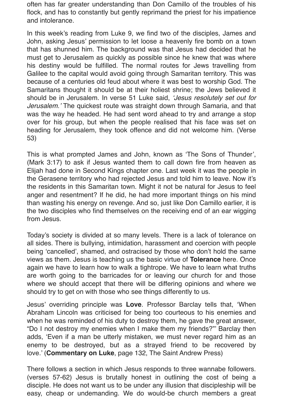often has far greater understanding than Don Camillo of the troubles of his flock, and has to constantly but gently reprimand the priest for his impatience and intolerance.

In this week's reading from Luke 9, we find two of the disciples, James and John, asking Jesus' permission to let loose a heavenly fire bomb on a town that has shunned him. The background was that Jesus had decided that he must get to Jerusalem as quickly as possible since he knew that was where his destiny would be fulfilled. The normal routes for Jews travelling from Galilee to the capital would avoid going through Samaritan territory. This was because of a centuries old feud about where it was best to worship God. The Samaritans thought it should be at their holiest shrine; the Jews believed it should be in Jerusalem. In verse 51 Luke said, *'Jesus resolutely set out for Jerusalem.'* The quickest route was straight down through Samaria, and that was the way he headed. He had sent word ahead to try and arrange a stop over for his group, but when the people realised that his face was set on heading for Jerusalem, they took offence and did not welcome him. (Verse 53)

This is what prompted James and John, known as 'The Sons of Thunder', (Mark 3:17) to ask if Jesus wanted them to call down fire from heaven as Elijah had done in Second Kings chapter one. Last week it was the people in the Gerasene territory who had rejected Jesus and told him to leave. Now it's the residents in this Samaritan town. Might it not be natural for Jesus to feel anger and resentment? If he did, he had more important things on his mind than wasting his energy on revenge. And so, just like Don Camillo earlier, it is the two disciples who find themselves on the receiving end of an ear wigging from Jesus.

Today's society is divided at so many levels. There is a lack of tolerance on all sides. There is bullying, intimidation, harassment and coercion with people being 'cancelled', shamed, and ostracised by those who don't hold the same views as them. Jesus is teaching us the basic virtue of **Tolerance** here. Once again we have to learn how to walk a tightrope. We have to learn what truths are worth going to the barricades for or leaving our church for and those where we should accept that there will be differing opinions and where we should try to get on with those who see things differently to us.

Jesus' overriding principle was **Love**. Professor Barclay tells that, 'When Abraham Lincoln was criticised for being too courteous to his enemies and when he was reminded of his duty to destroy them, he gave the great answer, "Do I not destroy my enemies when I make them my friends?"' Barclay then adds, 'Even if a man be utterly mistaken, we must never regard him as an enemy to be destroyed, but as a strayed friend to be recovered by love.' (**Commentary on Luke**, page 132, The Saint Andrew Press)

There follows a section in which Jesus responds to three wannabe followers. (verses 57-62) Jesus is brutally honest in outlining the cost of being a disciple. He does not want us to be under any illusion that discipleship will be easy, cheap or undemanding. We do would-be church members a great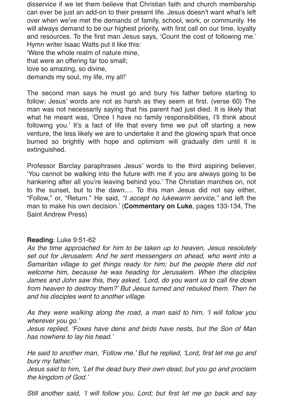disservice if we let them believe that Christian faith and church membership can ever be just an add-on to their present life. Jesus doesn't want what's left over when we've met the demands of family, school, work, or community. He will always demand to be our highest priority, with first call on our time, loyalty and resources. To the first man Jesus says, 'Count the cost of following me.' Hymn writer Isaac Watts put it like this: 'Were the whole realm of nature mine,

that were an offering far too small; love so amazing, so divine,

demands my soul, my life, my all!'

The second man says he must go and bury his father before starting to follow; Jesus' words are not as harsh as they seem at first. (verse 60) The man was not necessarily saying that his parent had just died. It is likely that what he meant was, 'Once I have no family responsibilities, I'll think about following you.' It's a fact of life that every time we put off starting a new venture, the less likely we are to undertake it and the glowing spark that once burned so brightly with hope and optimism will gradually dim until it is extinguished.

Professor Barclay paraphrases Jesus' words to the third aspiring believer, 'You cannot be walking into the future with me if you are always going to be hankering after all you're leaving behind you.' The Christian marches on, not to the sunset, but to the dawn…. To this man Jesus did not say either, "Follow," or, "Return." He said, *"I accept no lukewarm service,"* and left the man to make his own decision.' (**Commentary on Luke**, pages 133-134, The Saint Andrew Press)

#### **Reading**: Luke 9:51-62

*As the time approached for him to be taken up to heaven, Jesus resolutely set out for Jerusalem. And he sent messengers on ahead, who went into a Samaritan village to get things ready for him; but the people there did not welcome him, because he was heading for Jerusalem. When the disciples James and John saw this, they asked, 'Lord, do you want us to call fire down from heaven to destroy them?' But Jesus turned and rebuked them. Then he and his disciples went to another village.*

*As they were walking along the road, a man said to him, 'I will follow you wherever you go.'*

*Jesus replied, 'Foxes have dens and birds have nests, but the Son of Man has nowhere to lay his head.'*

*He said to another man, 'Follow me.' But he replied, 'Lord, first let me go and bury my father.'*

*Jesus said to him, 'Let the dead bury their own dead, but you go and proclaim the kingdom of God.'*

*Still another said, 'I will follow you, Lord; but first let me go back and say*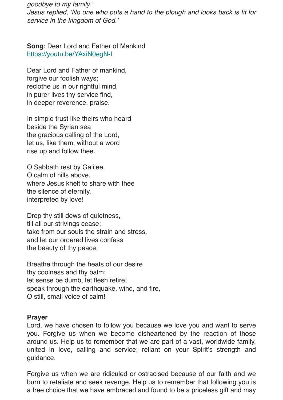*goodbye to my family.'*

*Jesus replied, 'No one who puts a hand to the plough and looks back is fit for service in the kingdom of God.'*

**Song**: Dear Lord and Father of Mankind [https://youtu.be/YAxiN0egN-I](https://cuparold.us17.list-manage.com/track/click?u=cb0d11bd686f9936f33547aab&id=0fc6a42617&e=9c4275e320)

Dear Lord and Father of mankind, forgive our foolish ways; reclothe us in our rightful mind, in purer lives thy service find, in deeper reverence, praise.

In simple trust like theirs who heard beside the Syrian sea the gracious calling of the Lord, let us, like them, without a word rise up and follow thee.

O Sabbath rest by Galilee, O calm of hills above, where Jesus knelt to share with thee the silence of eternity, interpreted by love!

Drop thy still dews of quietness, till all our strivings cease; take from our souls the strain and stress, and let our ordered lives confess the beauty of thy peace.

Breathe through the heats of our desire thy coolness and thy balm; let sense be dumb, let flesh retire; speak through the earthquake, wind, and fire, O still, small voice of calm!

#### **Prayer**

Lord, we have chosen to follow you because we love you and want to serve you. Forgive us when we become disheartened by the reaction of those around us. Help us to remember that we are part of a vast, worldwide family, united in love, calling and service; reliant on your Spirit's strength and guidance.

Forgive us when we are ridiculed or ostracised because of our faith and we burn to retaliate and seek revenge. Help us to remember that following you is a free choice that we have embraced and found to be a priceless gift and may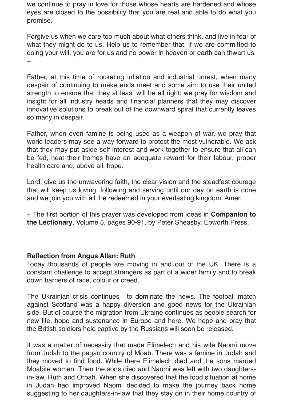we continue to pray in love for those whose hearts are hardened and whose eyes are closed to the possibility that you are real and able to do what you promise.

Forgive us when we care too much about what others think, and live in fear of what they might do to us. Help us to remember that, if we are committed to doing your will, you are for us and no power in heaven or earth can thwart us. +

Father, at this time of rocketing inflation and industrial unrest, when many despair of continuing to make ends meet and some aim to use their united strength to ensure that they at least will be all right; we pray for wisdom and insight for all industry heads and financial planners that they may discover innovative solutions to break out of the downward spiral that currently leaves so many in despair.

Father, when even famine is being used as a weapon of war, we pray that world leaders may see a way forward to protect the most vulnerable. We ask that they may put aside self interest and work together to ensure that all can be fed, heat their homes have an adequate reward for their labour, proper health care and, above all, hope.

Lord, give us the unwavering faith, the clear vision and the steadfast courage that will keep us loving, following and serving until our day on earth is done and we join you with all the redeemed in your everlasting kingdom. Amen

+ The first portion of this prayer was developed from ideas in **Companion to the Lectionary**, Volume 5, pages 90-91, by Peter Sheasby, Epworth Press.

#### **Reflection from Angus Allan: Ruth**

Today thousands of people are moving in and out of the UK. There is a constant challenge to accept strangers as part of a wider family and to break down barriers of race, colour or creed.

The Ukrainian crisis continues to dominate the news. The football match against Scotland was a happy diversion and good news for the Ukrainian side. But of course the migration from Ukraine continues as people search for new life, hope and sustenance in Europe and here. We hope and pray that the British soldiers held captive by the Russians will soon be released.

It was a matter of necessity that made Elimelech and his wife Naomi move from Judah to the pagan country of Moab. There was a famine in Judah and they moved to find food. While there Elimelech died and the sons married Moabite women. Then the sons died and Naomi was left with two daughtersin-law, Ruth and Orpah. When she discovered that the food situation at home in Judah had improved Naomi decided to make the journey back home suggesting to her daughters-in-law that they stay on in their home country of